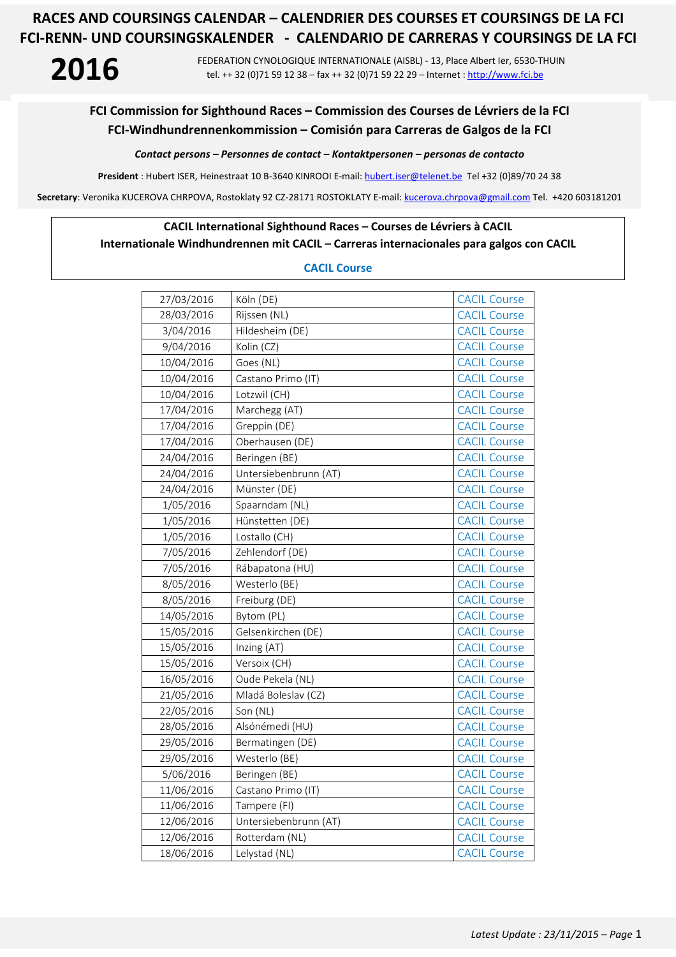**2016** FEDERATION CYNOLOGIQUE INTERNATIONALE (AISBL) - 13, Place Albert Ier, 6530-THUIN tel. ++ 32 (0)71 59 12 38 – fax ++ 32 (0)71 59 22 29 – Internet : http://www.fci.be

## **FCI Commission for Sighthound Races – Commission des Courses de Lévriers de la FCI FCI-Windhundrennenkommission – Comisión para Carreras de Galgos de la FCI**

*Contact persons – Personnes de contact – Kontaktpersonen – personas de contacto* 

**President** : Hubert ISER, Heinestraat 10 B-3640 KINROOI E-mail: hubert.iser@telenet.be Tel +32 (0)89/70 24 38

**Secretary**: Veronika KUCEROVA CHRPOVA, Rostoklaty 92 CZ-28171 ROSTOKLATY E-mail: kucerova.chrpova@gmail.com Tel. +420 603181201

### **CACIL International Sighthound Races – Courses de Lévriers à CACIL**

## **Internationale Windhundrennen mit CACIL – Carreras internacionales para galgos con CACIL**

### **CACIL Course**

| 27/03/2016 | Köln (DE)             | <b>CACIL Course</b> |
|------------|-----------------------|---------------------|
| 28/03/2016 | Rijssen (NL)          | <b>CACIL Course</b> |
| 3/04/2016  | Hildesheim (DE)       | <b>CACIL Course</b> |
| 9/04/2016  | Kolin (CZ)            | <b>CACIL Course</b> |
| 10/04/2016 | Goes (NL)             | <b>CACIL Course</b> |
| 10/04/2016 | Castano Primo (IT)    | <b>CACIL Course</b> |
| 10/04/2016 | Lotzwil (CH)          | <b>CACIL Course</b> |
| 17/04/2016 | Marchegg (AT)         | <b>CACIL Course</b> |
| 17/04/2016 | Greppin (DE)          | <b>CACIL Course</b> |
| 17/04/2016 | Oberhausen (DE)       | <b>CACIL Course</b> |
| 24/04/2016 | Beringen (BE)         | <b>CACIL Course</b> |
| 24/04/2016 | Untersiebenbrunn (AT) | <b>CACIL Course</b> |
| 24/04/2016 | Münster (DE)          | <b>CACIL Course</b> |
| 1/05/2016  | Spaarndam (NL)        | <b>CACIL Course</b> |
| 1/05/2016  | Hünstetten (DE)       | <b>CACIL Course</b> |
| 1/05/2016  | Lostallo (CH)         | <b>CACIL Course</b> |
| 7/05/2016  | Zehlendorf (DE)       | <b>CACIL Course</b> |
| 7/05/2016  | Rábapatona (HU)       | <b>CACIL Course</b> |
| 8/05/2016  | Westerlo (BE)         | <b>CACIL Course</b> |
| 8/05/2016  | Freiburg (DE)         | <b>CACIL Course</b> |
| 14/05/2016 | Bytom (PL)            | <b>CACIL Course</b> |
| 15/05/2016 | Gelsenkirchen (DE)    | <b>CACIL Course</b> |
| 15/05/2016 | Inzing (AT)           | <b>CACIL Course</b> |
| 15/05/2016 | Versoix (CH)          | <b>CACIL Course</b> |
| 16/05/2016 | Oude Pekela (NL)      | <b>CACIL Course</b> |
| 21/05/2016 | Mladá Boleslav (CZ)   | <b>CACIL Course</b> |
| 22/05/2016 | Son (NL)              | <b>CACIL Course</b> |
| 28/05/2016 | Alsónémedi (HU)       | <b>CACIL Course</b> |
| 29/05/2016 | Bermatingen (DE)      | <b>CACIL Course</b> |
| 29/05/2016 | Westerlo (BE)         | <b>CACIL Course</b> |
| 5/06/2016  | Beringen (BE)         | <b>CACIL Course</b> |
| 11/06/2016 | Castano Primo (IT)    | <b>CACIL Course</b> |
| 11/06/2016 | Tampere (FI)          | <b>CACIL Course</b> |
| 12/06/2016 | Untersiebenbrunn (AT) | <b>CACIL Course</b> |
| 12/06/2016 | Rotterdam (NL)        | <b>CACIL Course</b> |
| 18/06/2016 | Lelystad (NL)         | <b>CACIL Course</b> |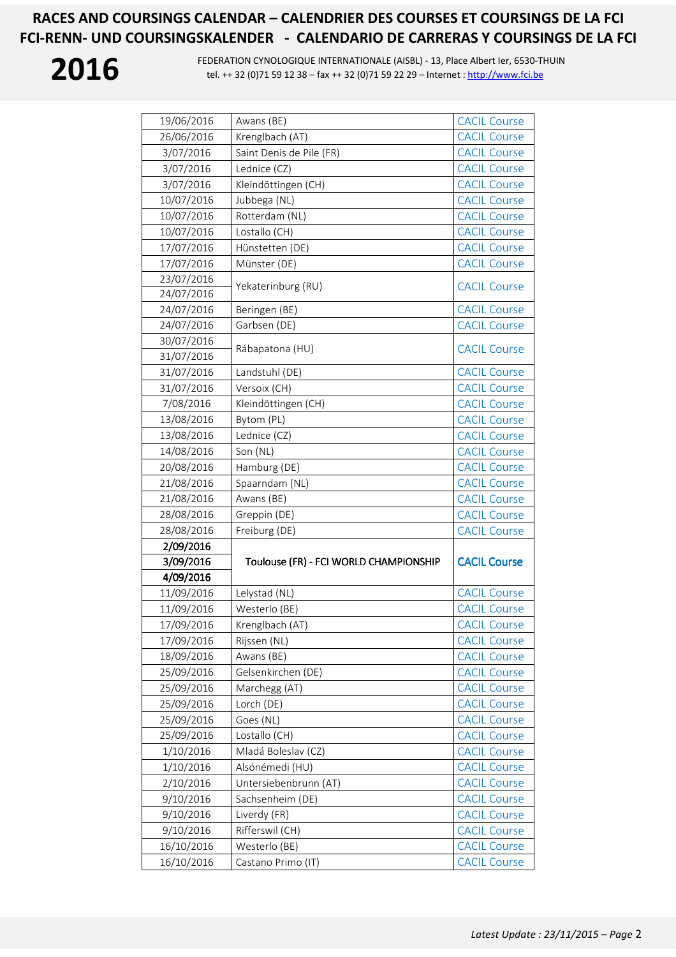| 19/06/2016 | Awans (BE)                             | <b>CACIL Course</b> |
|------------|----------------------------------------|---------------------|
| 26/06/2016 | Krenglbach (AT)                        | <b>CACIL Course</b> |
| 3/07/2016  | Saint Denis de Pile (FR)               | <b>CACIL Course</b> |
| 3/07/2016  | Lednice (CZ)                           | <b>CACIL Course</b> |
| 3/07/2016  | Kleindöttingen (CH)                    | <b>CACIL Course</b> |
| 10/07/2016 | Jubbega (NL)                           | <b>CACIL Course</b> |
| 10/07/2016 | Rotterdam (NL)                         | <b>CACIL Course</b> |
| 10/07/2016 | Lostallo (CH)                          | <b>CACIL Course</b> |
| 17/07/2016 | Hünstetten (DE)                        | <b>CACIL Course</b> |
| 17/07/2016 | Münster (DE)                           | <b>CACIL Course</b> |
| 23/07/2016 |                                        |                     |
| 24/07/2016 | Yekaterinburg (RU)                     | <b>CACIL Course</b> |
| 24/07/2016 | Beringen (BE)                          | <b>CACIL Course</b> |
| 24/07/2016 | Garbsen (DE)                           | <b>CACIL Course</b> |
| 30/07/2016 |                                        |                     |
| 31/07/2016 | Rábapatona (HU)                        | <b>CACIL Course</b> |
| 31/07/2016 | Landstuhl (DE)                         | <b>CACIL Course</b> |
| 31/07/2016 | Versoix (CH)                           | <b>CACIL Course</b> |
| 7/08/2016  | Kleindöttingen (CH)                    | <b>CACIL Course</b> |
| 13/08/2016 | Bytom (PL)                             | <b>CACIL Course</b> |
| 13/08/2016 | Lednice (CZ)                           | <b>CACIL Course</b> |
| 14/08/2016 | Son (NL)                               | <b>CACIL Course</b> |
| 20/08/2016 | Hamburg (DE)                           | <b>CACIL Course</b> |
| 21/08/2016 | Spaarndam (NL)                         | <b>CACIL Course</b> |
|            | Awans (BE)                             | <b>CACIL Course</b> |
| 21/08/2016 |                                        |                     |
| 28/08/2016 | Greppin (DE)                           | <b>CACIL Course</b> |
| 28/08/2016 | Freiburg (DE)                          | <b>CACIL Course</b> |
| 2/09/2016  |                                        |                     |
| 3/09/2016  | Toulouse (FR) - FCI WORLD CHAMPIONSHIP | <b>CACIL Course</b> |
| 4/09/2016  |                                        |                     |
| 11/09/2016 | Lelystad (NL)                          | <b>CACIL Course</b> |
| 11/09/2016 | Westerlo (BE)                          | <b>CACIL Course</b> |
| 17/09/2016 | Krenglbach (AT)                        | <b>CACIL Course</b> |
| 17/09/2016 | Rijssen (NL)                           | <b>CACIL Course</b> |
| 18/09/2016 | Awans (BE)                             | <b>CACIL Course</b> |
| 25/09/2016 | Gelsenkirchen (DE)                     | <b>CACIL Course</b> |
| 25/09/2016 | Marchegg (AT)                          | <b>CACIL Course</b> |
| 25/09/2016 | Lorch (DE)                             | <b>CACIL Course</b> |
| 25/09/2016 | Goes (NL)                              | <b>CACIL Course</b> |
| 25/09/2016 | Lostallo (CH)                          | <b>CACIL Course</b> |
| 1/10/2016  | Mladá Boleslav (CZ)                    | <b>CACIL Course</b> |
| 1/10/2016  | Alsónémedi (HU)                        | <b>CACIL Course</b> |
| 2/10/2016  | Untersiebenbrunn (AT)                  | <b>CACIL Course</b> |
| 9/10/2016  | Sachsenheim (DE)                       | <b>CACIL Course</b> |
| 9/10/2016  | Liverdy (FR)                           | <b>CACIL Course</b> |
| 9/10/2016  | Rifferswil (CH)                        | <b>CACIL Course</b> |
| 16/10/2016 | Westerlo (BE)                          | <b>CACIL Course</b> |
| 16/10/2016 | Castano Primo (IT)                     | <b>CACIL Course</b> |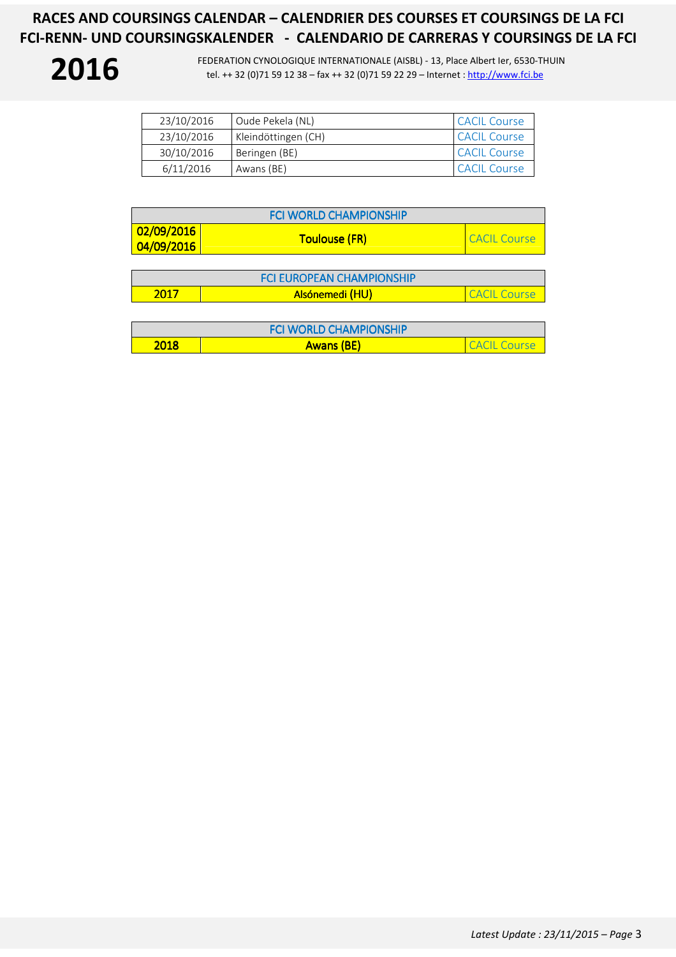| 23/10/2016 | Oude Pekela (NL)    | <b>CACIL Course</b> |
|------------|---------------------|---------------------|
| 23/10/2016 | Kleindöttingen (CH) | <b>CACIL Course</b> |
| 30/10/2016 | Beringen (BE)       | <b>CACIL Course</b> |
| 6/11/2016  | Awans (BE)          | <b>CACIL Course</b> |

| <b>FCI WORLD CHAMPIONSHIP</b>                   |                      |              |
|-------------------------------------------------|----------------------|--------------|
| $\frac{1}{2}02/09/2016$<br>$\frac{04}{09/2016}$ | <b>Toulouse (FR)</b> | CACIL Course |

|      | <b>FCI FUROPEAN CHAMPIONSHIP</b> |          |
|------|----------------------------------|----------|
| 2017 | Alsónemedi (HU)                  | l Course |

|      | <b>FCI WORLD CHAMPIONSHIP</b> |              |
|------|-------------------------------|--------------|
| 2018 | <b>Awans (BE)</b>             | CACIL Course |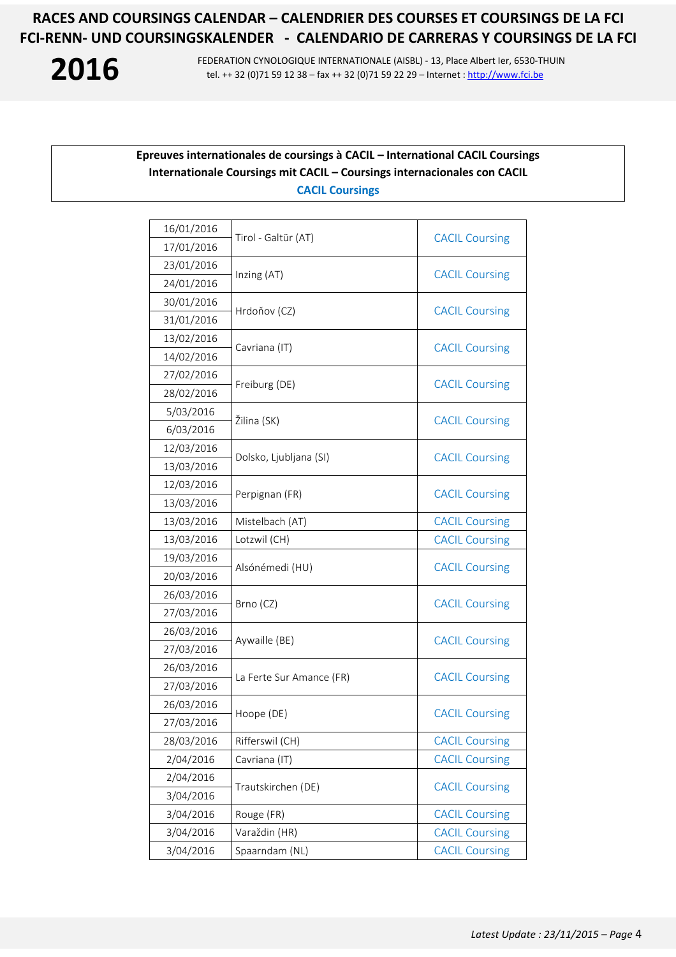**2016** FEDERATION CYNOLOGIQUE INTERNATIONALE (AISBL) - 13, Place Albert Ier, 6530-THUIN<br>tel. ++ 32 (0)71 59 12 38 – fax ++ 32 (0)71 59 22 29 – Internet : http://www.fci.be tel. ++ 32 (0)71 59 12 38 – fax ++ 32 (0)71 59 22 29 – Internet : http://www.fci.be

## **Epreuves internationales de coursings à CACIL – International CACIL Coursings Internationale Coursings mit CACIL – Coursings internacionales con CACIL CACIL Coursings**

|                 | <b>CACIL Coursing</b>                                                                                                                                                                                                                                            |  |
|-----------------|------------------------------------------------------------------------------------------------------------------------------------------------------------------------------------------------------------------------------------------------------------------|--|
|                 |                                                                                                                                                                                                                                                                  |  |
|                 | <b>CACIL Coursing</b>                                                                                                                                                                                                                                            |  |
|                 |                                                                                                                                                                                                                                                                  |  |
|                 | <b>CACIL Coursing</b>                                                                                                                                                                                                                                            |  |
|                 |                                                                                                                                                                                                                                                                  |  |
|                 | <b>CACIL Coursing</b>                                                                                                                                                                                                                                            |  |
|                 |                                                                                                                                                                                                                                                                  |  |
|                 | <b>CACIL Coursing</b>                                                                                                                                                                                                                                            |  |
|                 |                                                                                                                                                                                                                                                                  |  |
|                 | <b>CACIL Coursing</b>                                                                                                                                                                                                                                            |  |
|                 |                                                                                                                                                                                                                                                                  |  |
|                 | <b>CACIL Coursing</b>                                                                                                                                                                                                                                            |  |
|                 |                                                                                                                                                                                                                                                                  |  |
|                 | <b>CACIL Coursing</b>                                                                                                                                                                                                                                            |  |
|                 |                                                                                                                                                                                                                                                                  |  |
| Mistelbach (AT) | <b>CACIL Coursing</b>                                                                                                                                                                                                                                            |  |
| Lotzwil (CH)    | <b>CACIL Coursing</b>                                                                                                                                                                                                                                            |  |
|                 | <b>CACIL Coursing</b>                                                                                                                                                                                                                                            |  |
|                 |                                                                                                                                                                                                                                                                  |  |
|                 | <b>CACIL Coursing</b>                                                                                                                                                                                                                                            |  |
|                 |                                                                                                                                                                                                                                                                  |  |
|                 | <b>CACIL Coursing</b>                                                                                                                                                                                                                                            |  |
|                 |                                                                                                                                                                                                                                                                  |  |
|                 |                                                                                                                                                                                                                                                                  |  |
|                 | <b>CACIL Coursing</b>                                                                                                                                                                                                                                            |  |
|                 | <b>CACIL Coursing</b>                                                                                                                                                                                                                                            |  |
|                 |                                                                                                                                                                                                                                                                  |  |
| Rifferswil (CH) | <b>CACIL Coursing</b>                                                                                                                                                                                                                                            |  |
| Cavriana (IT)   | <b>CACIL Coursing</b>                                                                                                                                                                                                                                            |  |
|                 | <b>CACIL Coursing</b>                                                                                                                                                                                                                                            |  |
|                 |                                                                                                                                                                                                                                                                  |  |
| Rouge (FR)      | <b>CACIL Coursing</b>                                                                                                                                                                                                                                            |  |
| Varaždin (HR)   | <b>CACIL Coursing</b>                                                                                                                                                                                                                                            |  |
| Spaarndam (NL)  | <b>CACIL Coursing</b>                                                                                                                                                                                                                                            |  |
|                 | Tirol - Galtür (AT)<br>Inzing (AT)<br>Hrdoňov (CZ)<br>Cavriana (IT)<br>Freiburg (DE)<br>Žilina (SK)<br>Dolsko, Ljubljana (SI)<br>Perpignan (FR)<br>Alsónémedi (HU)<br>Brno (CZ)<br>Aywaille (BE)<br>La Ferte Sur Amance (FR)<br>Hoope (DE)<br>Trautskirchen (DE) |  |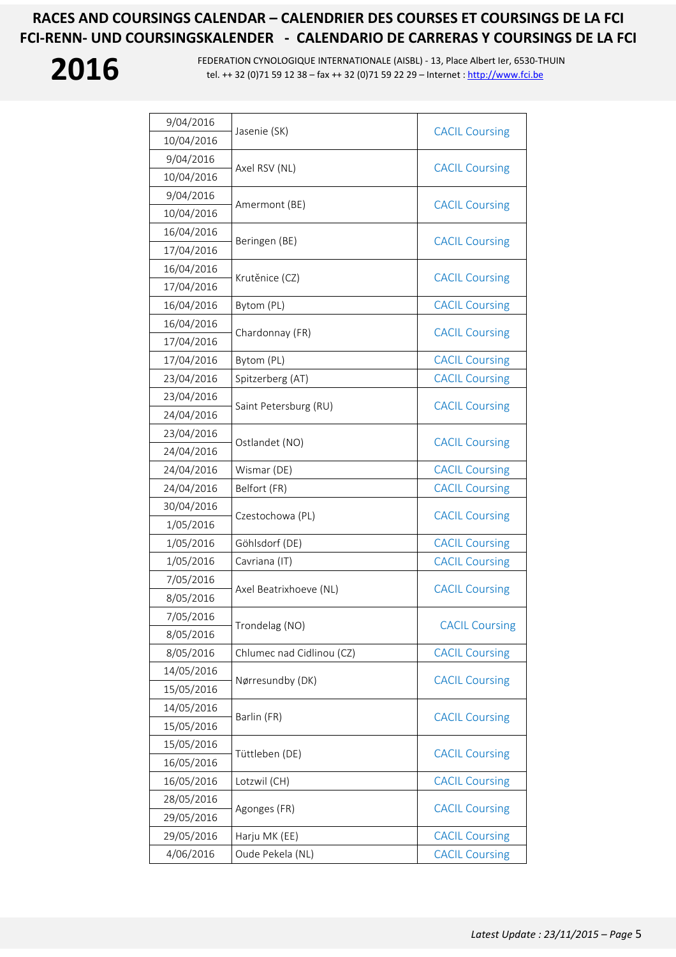| 9/04/2016  | Jasenie (SK)              | <b>CACIL Coursing</b> |  |
|------------|---------------------------|-----------------------|--|
| 10/04/2016 |                           |                       |  |
| 9/04/2016  | Axel RSV (NL)             | <b>CACIL Coursing</b> |  |
| 10/04/2016 |                           |                       |  |
| 9/04/2016  | Amermont (BE)             | <b>CACIL Coursing</b> |  |
| 10/04/2016 |                           |                       |  |
| 16/04/2016 | Beringen (BE)             | <b>CACIL Coursing</b> |  |
| 17/04/2016 |                           |                       |  |
| 16/04/2016 | Krutěnice (CZ)            |                       |  |
| 17/04/2016 |                           | <b>CACIL Coursing</b> |  |
| 16/04/2016 | Bytom (PL)                | <b>CACIL Coursing</b> |  |
| 16/04/2016 |                           |                       |  |
| 17/04/2016 | Chardonnay (FR)           | <b>CACIL Coursing</b> |  |
| 17/04/2016 | Bytom (PL)                | <b>CACIL Coursing</b> |  |
| 23/04/2016 | Spitzerberg (AT)          | <b>CACIL Coursing</b> |  |
| 23/04/2016 | Saint Petersburg (RU)     | <b>CACIL Coursing</b> |  |
| 24/04/2016 |                           |                       |  |
| 23/04/2016 |                           | <b>CACIL Coursing</b> |  |
| 24/04/2016 | Ostlandet (NO)            |                       |  |
| 24/04/2016 | Wismar (DE)               | <b>CACIL Coursing</b> |  |
| 24/04/2016 | Belfort (FR)              | <b>CACIL Coursing</b> |  |
| 30/04/2016 | Czestochowa (PL)          | <b>CACIL Coursing</b> |  |
| 1/05/2016  |                           |                       |  |
| 1/05/2016  | Göhlsdorf (DE)            | <b>CACIL Coursing</b> |  |
| 1/05/2016  | Cavriana (IT)             | <b>CACIL Coursing</b> |  |
| 7/05/2016  | Axel Beatrixhoeve (NL)    | <b>CACIL Coursing</b> |  |
| 8/05/2016  |                           |                       |  |
| 7/05/2016  | Trondelag (NO)            | <b>CACIL Coursing</b> |  |
| 8/05/2016  |                           |                       |  |
| 8/05/2016  | Chlumec nad Cidlinou (CZ) | <b>CACIL Coursing</b> |  |
| 14/05/2016 | Nørresundby (DK)          | <b>CACIL Coursing</b> |  |
| 15/05/2016 |                           |                       |  |
| 14/05/2016 | Barlin (FR)               | <b>CACIL Coursing</b> |  |
| 15/05/2016 |                           |                       |  |
| 15/05/2016 | Tüttleben (DE)            | <b>CACIL Coursing</b> |  |
| 16/05/2016 |                           |                       |  |
| 16/05/2016 | Lotzwil (CH)              | <b>CACIL Coursing</b> |  |
| 28/05/2016 | Agonges (FR)              | <b>CACIL Coursing</b> |  |
| 29/05/2016 |                           |                       |  |
| 29/05/2016 | Harju MK (EE)             | <b>CACIL Coursing</b> |  |
| 4/06/2016  | Oude Pekela (NL)          | <b>CACIL Coursing</b> |  |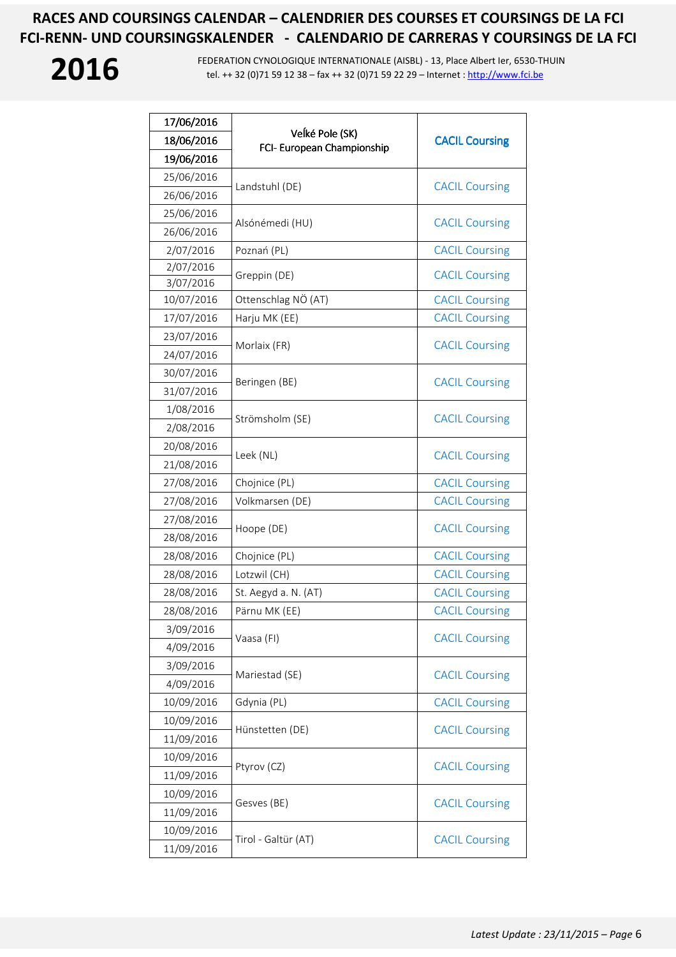| 17/06/2016 |                                               |                       |
|------------|-----------------------------------------------|-----------------------|
| 18/06/2016 | Veĺké Pole (SK)<br>FCI- European Championship | <b>CACIL Coursing</b> |
| 19/06/2016 |                                               |                       |
| 25/06/2016 | Landstuhl (DE)                                | <b>CACIL Coursing</b> |
| 26/06/2016 |                                               |                       |
| 25/06/2016 | Alsónémedi (HU)                               | <b>CACIL Coursing</b> |
| 26/06/2016 |                                               |                       |
| 2/07/2016  | Poznań (PL)                                   | <b>CACIL Coursing</b> |
| 2/07/2016  | Greppin (DE)                                  | <b>CACIL Coursing</b> |
| 3/07/2016  |                                               |                       |
| 10/07/2016 | Ottenschlag NÖ (AT)                           | <b>CACIL Coursing</b> |
| 17/07/2016 | Harju MK (EE)                                 | <b>CACIL Coursing</b> |
| 23/07/2016 | Morlaix (FR)                                  | <b>CACIL Coursing</b> |
| 24/07/2016 |                                               |                       |
| 30/07/2016 |                                               |                       |
| 31/07/2016 | Beringen (BE)                                 | <b>CACIL Coursing</b> |
| 1/08/2016  |                                               |                       |
| 2/08/2016  | Strömsholm (SE)                               | <b>CACIL Coursing</b> |
| 20/08/2016 | Leek (NL)                                     | <b>CACIL Coursing</b> |
| 21/08/2016 |                                               |                       |
| 27/08/2016 | Chojnice (PL)                                 | <b>CACIL Coursing</b> |
| 27/08/2016 | Volkmarsen (DE)                               | <b>CACIL Coursing</b> |
| 27/08/2016 | Hoope (DE)                                    | <b>CACIL Coursing</b> |
| 28/08/2016 |                                               |                       |
| 28/08/2016 | Chojnice (PL)                                 | <b>CACIL Coursing</b> |
| 28/08/2016 | Lotzwil (CH)                                  | <b>CACIL Coursing</b> |
| 28/08/2016 | St. Aegyd a. N. (AT)                          | <b>CACIL Coursing</b> |
| 28/08/2016 | Pärnu MK (EE)                                 | <b>CACIL Coursing</b> |
| 3/09/2016  |                                               |                       |
| 4/09/2016  | Vaasa (FI)                                    | <b>CACIL Coursing</b> |
| 3/09/2016  |                                               |                       |
| 4/09/2016  | Mariestad (SE)                                | <b>CACIL Coursing</b> |
| 10/09/2016 | Gdynia (PL)                                   | <b>CACIL Coursing</b> |
| 10/09/2016 |                                               |                       |
| 11/09/2016 | Hünstetten (DE)                               | <b>CACIL Coursing</b> |
| 10/09/2016 |                                               |                       |
| 11/09/2016 | Ptyrov (CZ)                                   | <b>CACIL Coursing</b> |
| 10/09/2016 |                                               |                       |
| 11/09/2016 | Gesves (BE)                                   | <b>CACIL Coursing</b> |
| 10/09/2016 |                                               |                       |
| 11/09/2016 | Tirol - Galtür (AT)                           | <b>CACIL Coursing</b> |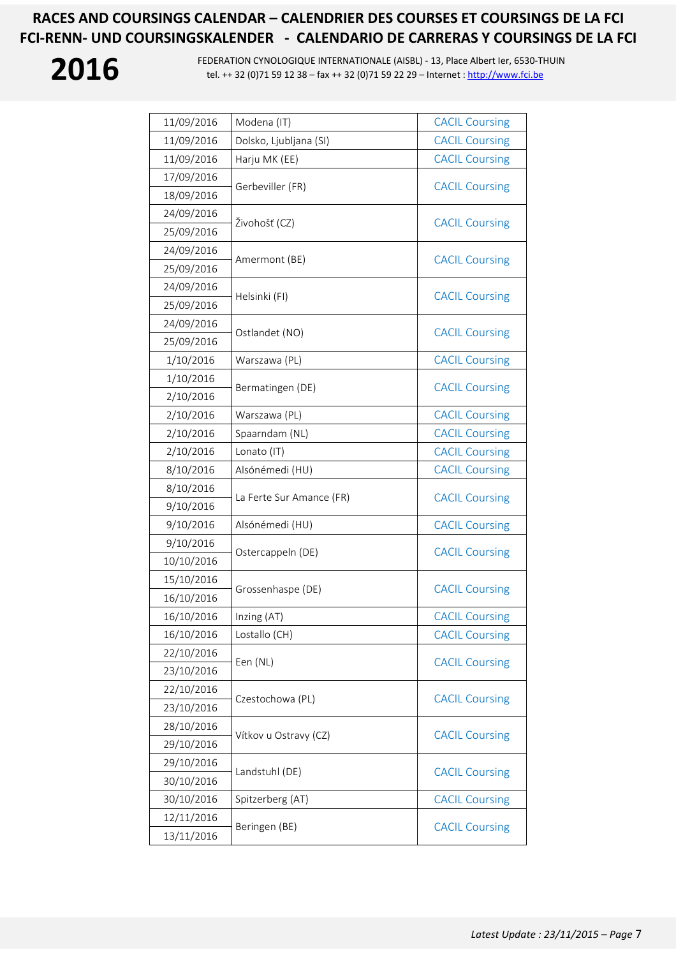| 11/09/2016 | Modena (IT)              | <b>CACIL Coursing</b> |
|------------|--------------------------|-----------------------|
| 11/09/2016 | Dolsko, Ljubljana (SI)   | <b>CACIL Coursing</b> |
| 11/09/2016 | Harju MK (EE)            | <b>CACIL Coursing</b> |
| 17/09/2016 |                          | <b>CACIL Coursing</b> |
| 18/09/2016 | Gerbeviller (FR)         |                       |
| 24/09/2016 | Živohošť (CZ)            |                       |
| 25/09/2016 |                          | <b>CACIL Coursing</b> |
| 24/09/2016 |                          |                       |
| 25/09/2016 | Amermont (BE)            | <b>CACIL Coursing</b> |
| 24/09/2016 |                          |                       |
| 25/09/2016 | Helsinki (FI)            | <b>CACIL Coursing</b> |
| 24/09/2016 |                          | <b>CACIL Coursing</b> |
| 25/09/2016 | Ostlandet (NO)           |                       |
| 1/10/2016  | Warszawa (PL)            | <b>CACIL Coursing</b> |
| 1/10/2016  | Bermatingen (DE)         | <b>CACIL Coursing</b> |
| 2/10/2016  |                          |                       |
| 2/10/2016  | Warszawa (PL)            | <b>CACIL Coursing</b> |
| 2/10/2016  | Spaarndam (NL)           | <b>CACIL Coursing</b> |
| 2/10/2016  | Lonato (IT)              | <b>CACIL Coursing</b> |
| 8/10/2016  | Alsónémedi (HU)          | <b>CACIL Coursing</b> |
| 8/10/2016  | La Ferte Sur Amance (FR) | <b>CACIL Coursing</b> |
| 9/10/2016  |                          |                       |
| 9/10/2016  | Alsónémedi (HU)          | <b>CACIL Coursing</b> |
| 9/10/2016  | Ostercappeln (DE)        | <b>CACIL Coursing</b> |
| 10/10/2016 |                          |                       |
| 15/10/2016 | Grossenhaspe (DE)        | <b>CACIL Coursing</b> |
| 16/10/2016 |                          |                       |
| 16/10/2016 | Inzing (AT)              | <b>CACIL Coursing</b> |
| 16/10/2016 | Lostallo (CH)            | <b>CACIL Coursing</b> |
| 22/10/2016 | Een (NL)                 | <b>CACIL Coursing</b> |
| 23/10/2016 |                          |                       |
| 22/10/2016 | Czestochowa (PL)         | <b>CACIL Coursing</b> |
| 23/10/2016 |                          |                       |
| 28/10/2016 | Vítkov u Ostravy (CZ)    | <b>CACIL Coursing</b> |
| 29/10/2016 |                          |                       |
| 29/10/2016 | Landstuhl (DE)           | <b>CACIL Coursing</b> |
| 30/10/2016 |                          |                       |
| 30/10/2016 | Spitzerberg (AT)         | <b>CACIL Coursing</b> |
| 12/11/2016 | Beringen (BE)            | <b>CACIL Coursing</b> |
| 13/11/2016 |                          |                       |